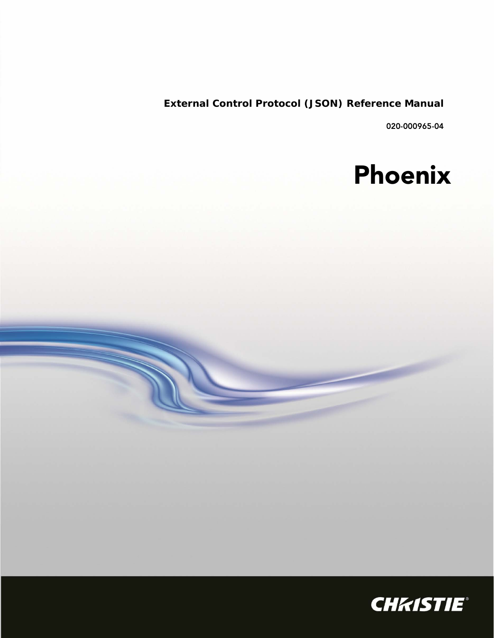**External Control Protocol (JSON) Reference Manual**

020-000965-04

# Phoenix

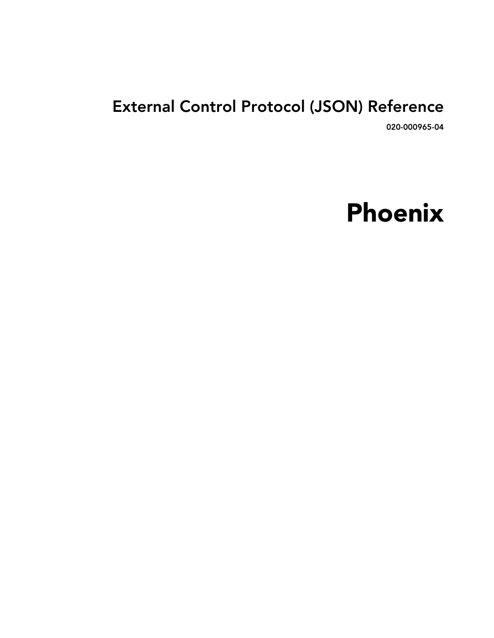# External Control Protocol (JSON) Reference

020-000965-04

# Phoenix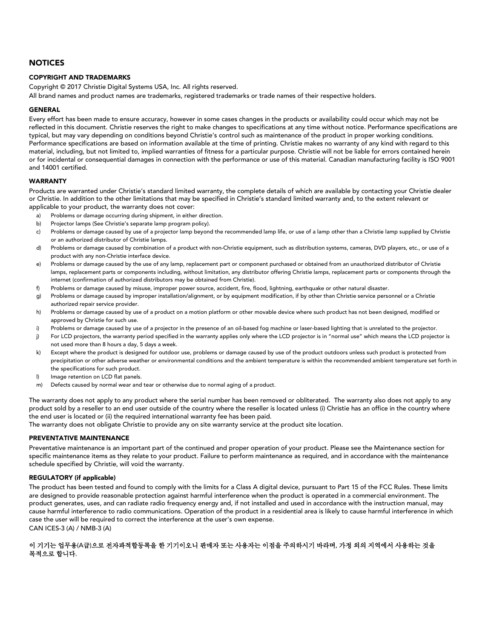#### **NOTICES**

#### COPYRIGHT AND TRADEMARKS

Copyright © 2017 Christie Digital Systems USA, Inc. All rights reserved.

All brand names and product names are trademarks, registered trademarks or trade names of their respective holders.

#### GENERAL

Every effort has been made to ensure accuracy, however in some cases changes in the products or availability could occur which may not be reflected in this document. Christie reserves the right to make changes to specifications at any time without notice. Performance specifications are typical, but may vary depending on conditions beyond Christie's control such as maintenance of the product in proper working conditions. Performance specifications are based on information available at the time of printing. Christie makes no warranty of any kind with regard to this material, including, but not limited to, implied warranties of fitness for a particular purpose. Christie will not be liable for errors contained herein or for incidental or consequential damages in connection with the performance or use of this material. Canadian manufacturing facility is ISO 9001 and 14001 certified.

#### WARRANTY

Products are warranted under Christie's standard limited warranty, the complete details of which are available by contacting your Christie dealer or Christie. In addition to the other limitations that may be specified in Christie's standard limited warranty and, to the extent relevant or applicable to your product, the warranty does not cover:

- a) Problems or damage occurring during shipment, in either direction.
- b) Projector lamps (See Christie's separate lamp program policy).
- c) Problems or damage caused by use of a projector lamp beyond the recommended lamp life, or use of a lamp other than a Christie lamp supplied by Christie or an authorized distributor of Christie lamps.
- d) Problems or damage caused by combination of a product with non-Christie equipment, such as distribution systems, cameras, DVD players, etc., or use of a product with any non-Christie interface device.
- e) Problems or damage caused by the use of any lamp, replacement part or component purchased or obtained from an unauthorized distributor of Christie lamps, replacement parts or components including, without limitation, any distributor offering Christie lamps, replacement parts or components through the internet (confirmation of authorized distributors may be obtained from Christie).
- f) Problems or damage caused by misuse, improper power source, accident, fire, flood, lightning, earthquake or other natural disaster.
- g) Problems or damage caused by improper installation/alignment, or by equipment modification, if by other than Christie service personnel or a Christie authorized repair service provider.
- h) Problems or damage caused by use of a product on a motion platform or other movable device where such product has not been designed, modified or approved by Christie for such use.
- i) Problems or damage caused by use of a projector in the presence of an oil-based fog machine or laser-based lighting that is unrelated to the projector.
- j) For LCD projectors, the warranty period specified in the warranty applies only where the LCD projector is in "normal use" which means the LCD projector is not used more than 8 hours a day, 5 days a week.
- k) Except where the product is designed for outdoor use, problems or damage caused by use of the product outdoors unless such product is protected from precipitation or other adverse weather or environmental conditions and the ambient temperature is within the recommended ambient temperature set forth in the specifications for such product.
- l) Image retention on LCD flat panels.
- m) Defects caused by normal wear and tear or otherwise due to normal aging of a product.

The warranty does not apply to any product where the serial number has been removed or obliterated. The warranty also does not apply to any product sold by a reseller to an end user outside of the country where the reseller is located unless (i) Christie has an office in the country where the end user is located or (ii) the required international warranty fee has been paid.

The warranty does not obligate Christie to provide any on site warranty service at the product site location.

#### PREVENTATIVE MAINTENANCE

Preventative maintenance is an important part of the continued and proper operation of your product. Please see the Maintenance section for specific maintenance items as they relate to your product. Failure to perform maintenance as required, and in accordance with the maintenance schedule specified by Christie, will void the warranty.

#### REGULATORY (if applicable)

The product has been tested and found to comply with the limits for a Class A digital device, pursuant to Part 15 of the FCC Rules. These limits are designed to provide reasonable protection against harmful interference when the product is operated in a commercial environment. The product generates, uses, and can radiate radio frequency energy and, if not installed and used in accordance with the instruction manual, may cause harmful interference to radio communications. Operation of the product in a residential area is likely to cause harmful interference in which case the user will be required to correct the interference at the user's own expense. CAN ICES-3 (A) / NMB-3 (A)

#### 이 기기는 업무용(A급)으로 전자파적합등록을 한 기기이오니 판매자 또는 사용자는 이점을 주의하시기 바라며, 가정 외의 지역에서 사용하는 것을 목적으로 합니다.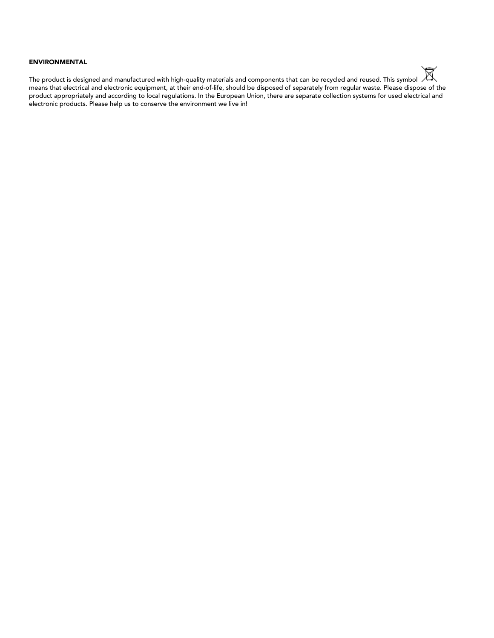#### ENVIRONMENTAL

⊠ The product is designed and manufactured with high-quality materials and components that can be recycled and reused. This symbol means that electrical and electronic equipment, at their end-of-life, should be disposed of separately from regular waste. Please dispose of the product appropriately and according to local regulations. In the European Union, there are separate collection systems for used electrical and electronic products. Please help us to conserve the environment we live in!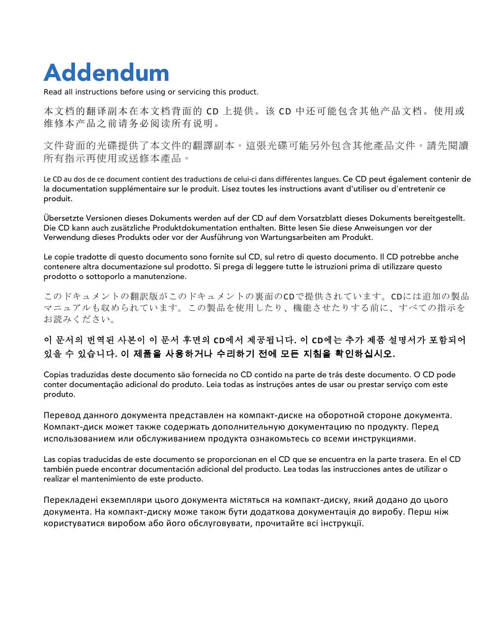# Addendum

Read all instructions before using or servicing this product.

本文档的翻译副本在本文档背面的 CD 上提供。该 CD 中还可能包含其他产品文档。使用或 维修本产品之前请务必阅读所有说明。

文件背面的光碟提供了本文件的翻譯副本。這張光碟可能另外包含其他產品文件。請先閱讀 所有指示再使用或送修本產品。

Le CD au dos de ce document contient des traductions de celui-ci dans différentes langues. Ce CD peut également contenir de la documentation supplémentaire sur le produit. Lisez toutes les instructions avant d'utiliser ou d'entretenir ce produit.

Übersetzte Versionen dieses Dokuments werden auf der CD auf dem Vorsatzblatt dieses Dokuments bereitgestellt. Die CD kann auch zusätzliche Produktdokumentation enthalten. Bitte lesen Sie diese Anweisungen vor der Verwendung dieses Produkts oder vor der Ausführung von Wartungsarbeiten am Produkt.

Le copie tradotte di questo documento sono fornite sul CD, sul retro di questo documento. Il CD potrebbe anche contenere altra documentazione sul prodotto. Si prega di leggere tutte le istruzioni prima di utilizzare questo prodotto o sottoporlo a manutenzione.

このドキュメントの翻訳版がこのドキュメントの裏面のCDで提供されています。CDには追加の製品 マニュアルも収められています。この製品を使用したり、機能させたりする前に、すべての指示を お読みください。

### 이 문서의 번역된 사본이 이 문서 후면의 **CD**에서 제공됩니다**.** 이 **CD**에는 추가 제품 설명서가 포함되어 있을 수 있습니다**.** 이 제품을 사용하거나 수리하기 전에 모든 지침을 확인하십시오**.**

Copias traduzidas deste documento são fornecida no CD contido na parte de trás deste documento. O CD pode conter documentação adicional do produto. Leia todas as instruções antes de usar ou prestar serviço com este produto.

Перевод данного документа представлен на компакт-диске на оборотной стороне документа. Компакт-диск может также содержать дополнительную документацию по продукту. Перед использованием или обслуживанием продукта ознакомьтесь со всеми инструкциями.

Las copias traducidas de este documento se proporcionan en el CD que se encuentra en la parte trasera. En el CD también puede encontrar documentación adicional del producto. Lea todas las instrucciones antes de utilizar o realizar el mantenimiento de este producto.

Перекладені екземпляри цього документа містяться на компакт-диску, який додано до цього документа. На компакт-диску може також бути додаткова документація до виробу. Перш ніж користуватися виробом або його обслуговувати, прочитайте всі інструкції.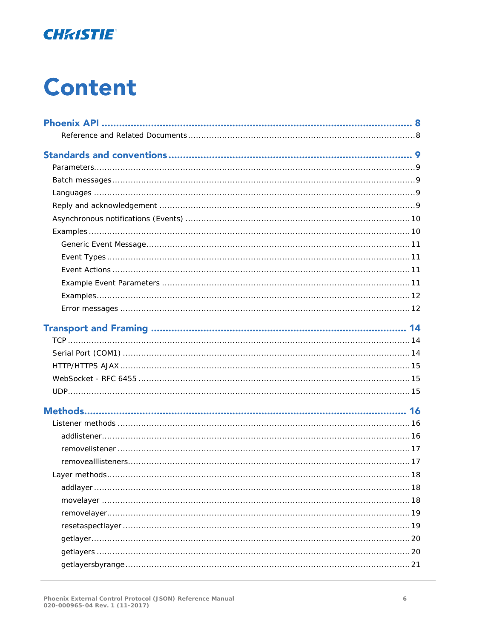

# **Content**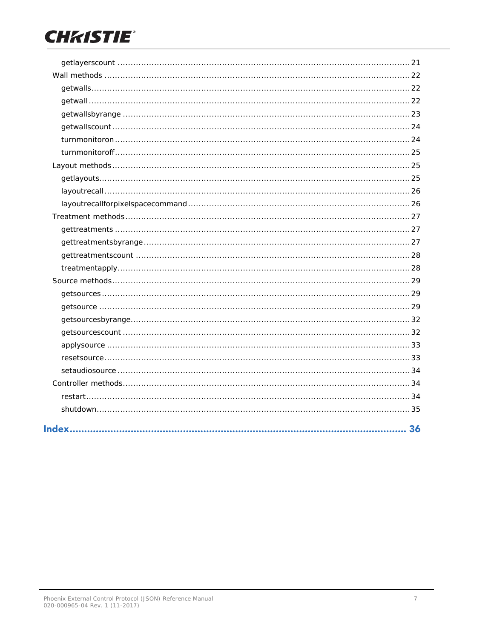# **CHKISTIE®**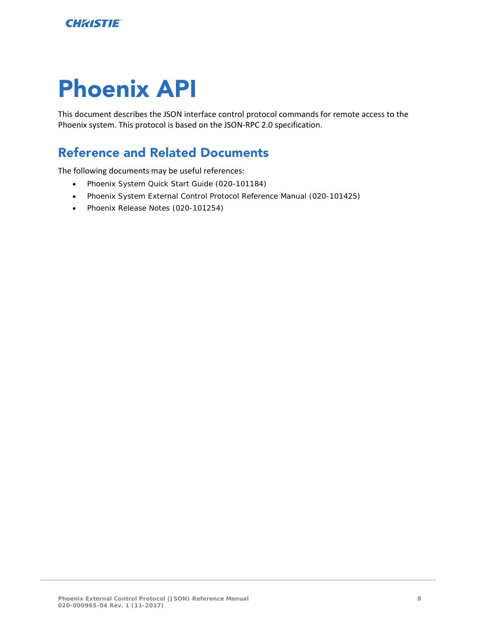# <span id="page-7-0"></span>Phoenix API

This document describes the JSON interface control protocol commands for remote access to the Phoenix system. This protocol is based on the JSON-RPC 2.0 specification.

# <span id="page-7-1"></span>Reference and Related Documents

The following documents may be useful references:

- Phoenix System Quick Start Guide (020-101184)
- Phoenix System External Control Protocol Reference Manual (020-101425)
- Phoenix Release Notes (020-101254)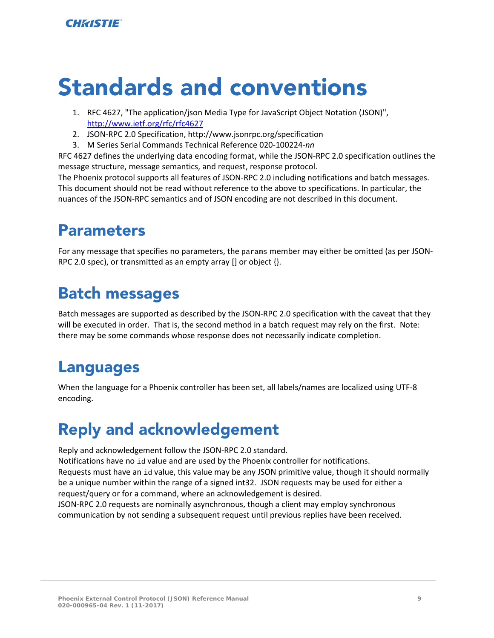# <span id="page-8-0"></span>Standards and conventions

- 1. RFC 4627, "The application/json Media Type for JavaScript Object Notation (JSON)", [http://www.ietf.org/rfc/rfc46](http://www.ietf.org/rfc/rfc4627)27
- 2. JSON-RPC 2.0 Specification, http://www.jsonrpc.org/specification
- 3. M Series Serial Commands Technical Reference 020-100224-*nn*

RFC 4627 defines the underlying data encoding format, while the JSON-RPC 2.0 specification outlines the message structure, message semantics, and request, response protocol.

The Phoenix protocol supports all features of JSON-RPC 2.0 including notifications and batch messages. This document should not be read without reference to the above to specifications. In particular, the nuances of the JSON-RPC semantics and of JSON encoding are not described in this document.

# <span id="page-8-1"></span>Parameters

For any message that specifies no parameters, the params member may either be omitted (as per JSON-RPC 2.0 spec), or transmitted as an empty array [] or object {}.

# <span id="page-8-2"></span>Batch messages

Batch messages are supported as described by the JSON-RPC 2.0 specification with the caveat that they will be executed in order. That is, the second method in a batch request may rely on the first. Note: there may be some commands whose response does not necessarily indicate completion.

# <span id="page-8-3"></span>Languages

When the language for a Phoenix controller has been set, all labels/names are localized using UTF-8 encoding.

# <span id="page-8-4"></span>Reply and acknowledgement

Reply and acknowledgement follow the JSON-RPC 2.0 standard.

Notifications have no id value and are used by the Phoenix controller for notifications. Requests must have an id value, this value may be any JSON primitive value, though it should normally be a unique number within the range of a signed int32. JSON requests may be used for either a request/query or for a command, where an acknowledgement is desired.

JSON-RPC 2.0 requests are nominally asynchronous, though a client may employ synchronous communication by not sending a subsequent request until previous replies have been received.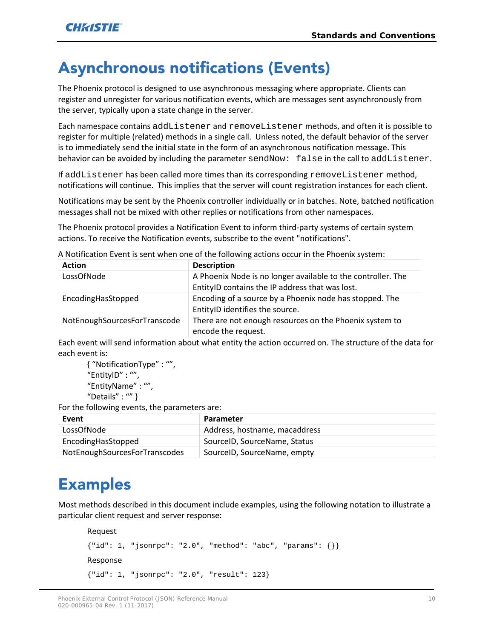# <span id="page-9-0"></span>Asynchronous notifications (Events)

The Phoenix protocol is designed to use asynchronous messaging where appropriate. Clients can register and unregister for various notification events, which are messages sent asynchronously from the server, typically upon a state change in the server.

Each namespace contains addListener and removeListener methods, and often it is possible to register for multiple (related) methods in a single call. Unless noted, the default behavior of the server is to immediately send the initial state in the form of an asynchronous notification message. This behavior can be avoided by including the parameter sendNow: false in the call to addListener.

If addListener has been called more times than its corresponding removeListener method, notifications will continue. This implies that the server will count registration instances for each client.

Notifications may be sent by the Phoenix controller individually or in batches. Note, batched notification messages shall not be mixed with other replies or notifications from other namespaces.

The Phoenix protocol provides a Notification Event to inform third-party systems of certain system actions. To receive the Notification events, subscribe to the event "notifications".

| <b>Description</b>                                                             |
|--------------------------------------------------------------------------------|
| A Phoenix Node is no longer available to the controller. The                   |
| EntityID contains the IP address that was lost.                                |
| Encoding of a source by a Phoenix node has stopped. The                        |
| EntityID identifies the source.                                                |
| There are not enough resources on the Phoenix system to<br>encode the request. |
|                                                                                |

A Notification Event is sent when one of the following actions occur in the Phoenix system:

Each event will send information about what entity the action occurred on. The structure of the data for each event is:

```
{ "NotificationType" : "",
"EntityID" : "",
"EntityName" : "",
"Details" : "" }
```
For the following events, the parameters are:

| Event                         | <b>Parameter</b>              |
|-------------------------------|-------------------------------|
| LossOfNode                    | Address, hostname, macaddress |
| EncodingHasStopped            | SourceID, SourceName, Status  |
| NotEnoughSourcesForTranscodes | SourceID, SourceName, empty   |

# <span id="page-9-1"></span>**Examples**

Most methods described in this document include examples, using the following notation to illustrate a particular client request and server response:

```
Request
{\text{'"id": 1, "jsonrpc": "2.0", "method": "abc", "params": {}}}Response
{"id": 1, "jsonrpc": "2.0", "result": 123}
```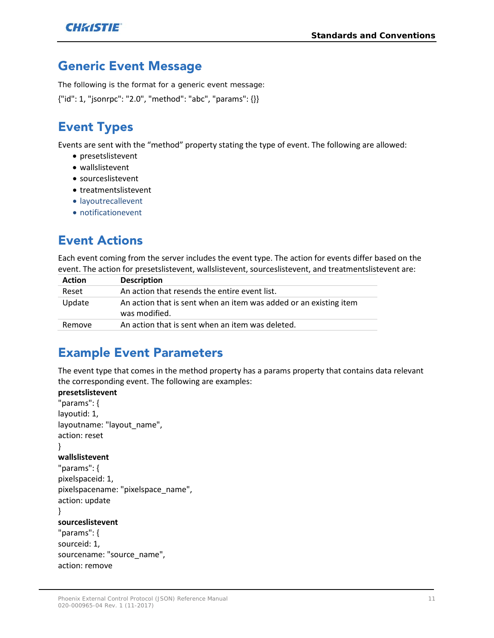# <span id="page-10-0"></span>Generic Event Message

The following is the format for a generic event message:

<span id="page-10-1"></span>{"id": 1, "jsonrpc": "2.0", "method": "abc", "params": {}}

# Event Types

Events are sent with the "method" property stating the type of event. The following are allowed:

- presetslistevent
- wallslistevent
- sourceslistevent
- treatmentslistevent
- layoutrecallevent
- notificationevent

# <span id="page-10-2"></span>Event Actions

Each event coming from the server includes the event type. The action for events differ based on the event. The action for presetslistevent, wallslistevent, sourceslistevent, and treatmentslistevent are:

| <b>Action</b> | <b>Description</b>                                                                 |
|---------------|------------------------------------------------------------------------------------|
| Reset         | An action that resends the entire event list.                                      |
| Update        | An action that is sent when an item was added or an existing item<br>was modified. |
| Remove        | An action that is sent when an item was deleted.                                   |

# <span id="page-10-3"></span>Example Event Parameters

The event type that comes in the method property has a params property that contains data relevant the corresponding event. The following are examples:

```
presetslistevent
"params": {
layoutid: 1,
layoutname: "layout_name",
action: reset
}
wallslistevent
"params": {
pixelspaceid: 1,
pixelspacename: "pixelspace_name",
action: update
}
sourceslistevent
"params": {
sourceid: 1,
sourcename: "source_name",
action: remove
```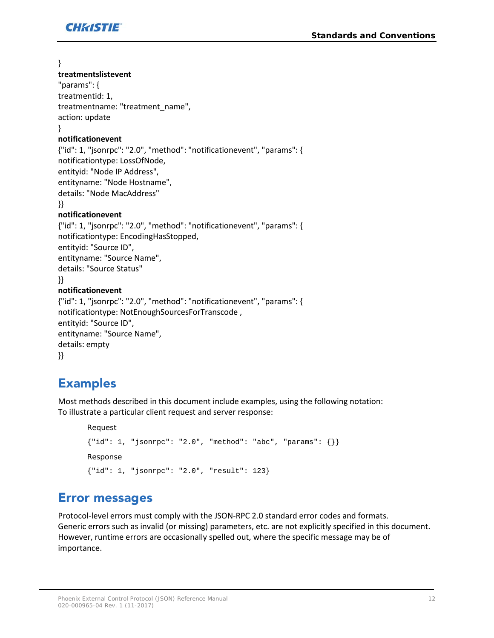

}

#### **treatmentslistevent**

"params": { treatmentid: 1, treatmentname: "treatment\_name", action: update }

#### **notificationevent**

{"id": 1, "jsonrpc": "2.0", "method": "notificationevent", "params": { notificationtype: LossOfNode, entityid: "Node IP Address", entityname: "Node Hostname", details: "Node MacAddress" }}

#### **notificationevent**

```
{"id": 1, "jsonrpc": "2.0", "method": "notificationevent", "params": {
notificationtype: EncodingHasStopped,
entityid: "Source ID", 
entityname: "Source Name",
details: "Source Status"
}}
notificationevent
{"id": 1, "jsonrpc": "2.0", "method": "notificationevent", "params": {
notificationtype: NotEnoughSourcesForTranscode , 
entityid: "Source ID", 
entityname: "Source Name",
details: empty
```

```
}}
```
# Examples

Most methods described in this document include examples, using the following notation: To illustrate a particular client request and server response:

```
Request
{\text{'"id": 1, "jsonrpc": "2.0", "method": "abc", "params": {}}}Response
{"id": 1, "jsonrpc": "2.0", "result": 123}
```
# <span id="page-11-1"></span>Error messages

Protocol-level errors must comply with the JSON-RPC 2.0 standard error codes and formats. Generic errors such as invalid (or missing) parameters, etc. are not explicitly specified in this document. However, runtime errors are occasionally spelled out, where the specific message may be of importance.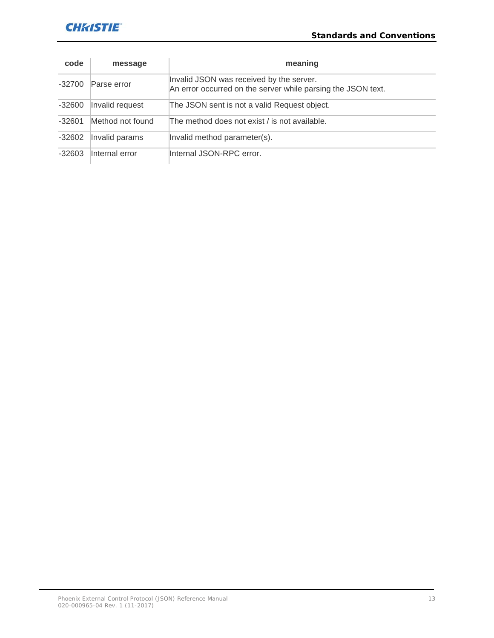## **CHRISTIE**

| code     | message          | meaning                                                                                                  |
|----------|------------------|----------------------------------------------------------------------------------------------------------|
| $-32700$ | Parse error      | Invalid JSON was received by the server.<br>An error occurred on the server while parsing the JSON text. |
| $-32600$ | Invalid request  | The JSON sent is not a valid Request object.                                                             |
| $-32601$ | Method not found | The method does not exist / is not available.                                                            |
| $-32602$ | Invalid params   | Invalid method parameter(s).                                                                             |
| $-32603$ | Internal error   | Internal JSON-RPC error.                                                                                 |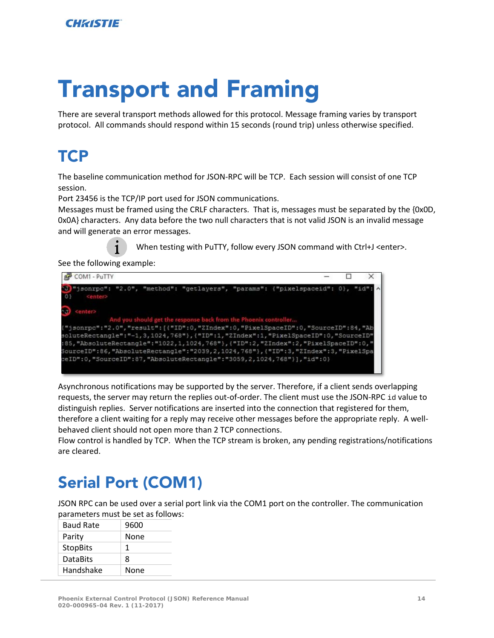# <span id="page-13-0"></span>Transport and Framing

There are several transport methods allowed for this protocol. Message framing varies by transport protocol. All commands should respond within 15 seconds (round trip) unless otherwise specified.

# <span id="page-13-1"></span>**TCP**

The baseline communication method for JSON-RPC will be TCP. Each session will consist of one TCP session.

Port 23456 is the TCP/IP port used for JSON communications.

Messages must be framed using the CRLF characters. That is, messages must be separated by the {0x0D, 0x0A} characters. Any data before the two null characters that is not valid JSON is an invalid message and will generate an error messages.

When testing with PuTTY, follow every JSON command with Ctrl+J <enter>.

See the following example:

| COM1 - PuTTY                                                                                                                                                                                                                                                                                                                                                                                                                                                                                                                               |  |  |
|--------------------------------------------------------------------------------------------------------------------------------------------------------------------------------------------------------------------------------------------------------------------------------------------------------------------------------------------------------------------------------------------------------------------------------------------------------------------------------------------------------------------------------------------|--|--|
| "jsonrpc": "2.0", "method": "getlayers", "params": {"pixelspaceid": 0}, "id": ^<br>$0$ }<br><enter></enter>                                                                                                                                                                                                                                                                                                                                                                                                                                |  |  |
| <b>Kenter&gt;</b><br>And you should get the response back from the Phoenix controller<br>("jsonrpc":"2.0","result":[{"ID":0,"ZIndex":0,"PixelSpaceID":0,"SourceID":84,"Ab<br>soluteRectangle":"-1,3,1024,768"},("ID":1,"ZIndex":1,"PixelSpaceID":0,"SourceID"<br>:85, "AbsoluteRectangle": "1022, 1, 1024, 768"}, { "ID": 2, "ZIndex": 2, "PixelSpaceID": 0, "<br>SourceID":86, "AbsoluteRectangle":"2039, 2, 1024, 768"}, {"ID":3, "ZIndex":3, "PixelSpa<br>ceID":0, "SourceID":87, "AbsoluteRectangle": "3059, 2, 1024, 768"} ], "id":0} |  |  |

[Asynchronous notifications](#page-9-0) may be supported by the server. Therefore, if a client sends overlapping requests, the server may return the replies out-of-order. The client must use the JSON-RPC id value to distinguish replies. Server notifications are inserted into the connection that registered for them, therefore a client waiting for a reply may receive other messages before the appropriate reply. A wellbehaved client should not open more than 2 TCP connections.

Flow control is handled by TCP. When the TCP stream is broken, any pending registrations/notifications are cleared.

# <span id="page-13-2"></span>Serial Port (COM1)

JSON RPC can be used over a serial port link via the COM1 port on the controller. The communication parameters must be set as follows:

| <b>Baud Rate</b> | 9600 |
|------------------|------|
| Parity           | None |
| <b>StopBits</b>  | 1    |
| <b>DataBits</b>  | 8    |
| Handshake        | None |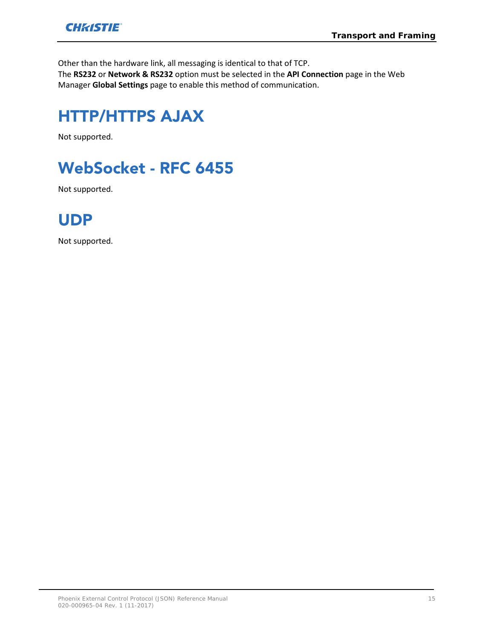

Other than the hardware link, all messaging is identical to that of TCP. The **RS232** or **Network & RS232** option must be selected in the **API Connection** page in the Web Manager **Global Settings** page to enable this method of communication.

# <span id="page-14-0"></span>HTTP/HTTPS AJAX

<span id="page-14-1"></span>Not supported.

# WebSocket - RFC 6455

<span id="page-14-2"></span>Not supported.

# UDP

Not supported.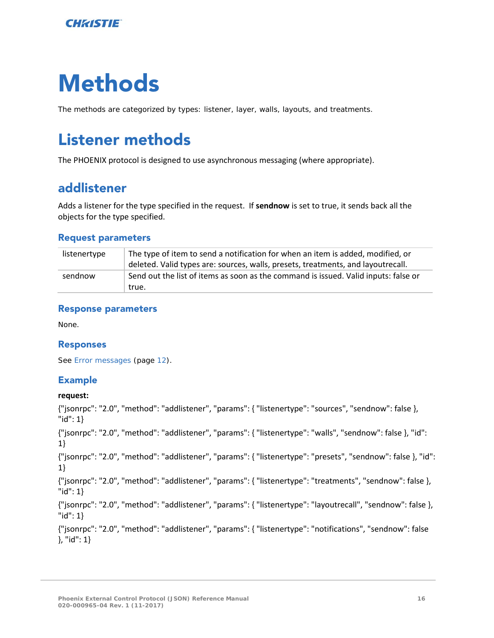

# <span id="page-15-0"></span>Methods

<span id="page-15-1"></span>The methods are categorized by types: listener, layer, walls, layouts, and treatments.

# Listener methods

<span id="page-15-2"></span>The PHOENIX protocol is designed to use asynchronous messaging (where appropriate).

## addlistener

Adds a listener for the type specified in the request. If **sendnow** is set to true, it sends back all the objects for the type specified.

#### Request parameters

| listenertype | The type of item to send a notification for when an item is added, modified, or<br>deleted. Valid types are: sources, walls, presets, treatments, and layoutrecall. |
|--------------|---------------------------------------------------------------------------------------------------------------------------------------------------------------------|
| sendnow      | Send out the list of items as soon as the command is issued. Valid inputs: false or<br>true.                                                                        |

#### Response parameters

None.

#### Responses

See *[Error messages](#page-11-1)* (page *[12](#page-11-1)*).

#### Example

#### **request:**

{"jsonrpc": "2.0", "method": "addlistener", "params": { "listenertype": "sources", "sendnow": false }, "id": 1} {"jsonrpc": "2.0", "method": "addlistener", "params": { "listenertype": "walls", "sendnow": false }, "id": 1} {"jsonrpc": "2.0", "method": "addlistener", "params": { "listenertype": "presets", "sendnow": false }, "id": 1} {"jsonrpc": "2.0", "method": "addlistener", "params": { "listenertype": "treatments", "sendnow": false }, "id": 1} {"jsonrpc": "2.0", "method": "addlistener", "params": { "listenertype": "layoutrecall", "sendnow": false }, "id": 1} {"jsonrpc": "2.0", "method": "addlistener", "params": { "listenertype": "notifications", "sendnow": false }, "id": 1}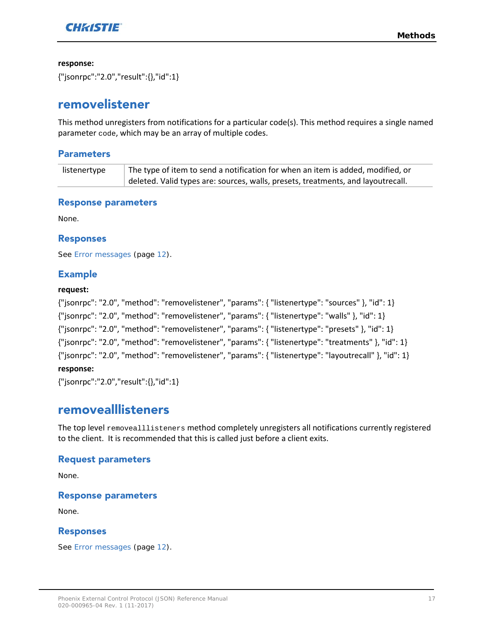

**response:**

<span id="page-16-0"></span>{"jsonrpc":"2.0","result":{},"id":1}

## removelistener

This method unregisters from notifications for a particular code(s). This method requires a single named parameter code, which may be an array of multiple codes.

#### **Parameters**

| listenertype | The type of item to send a notification for when an item is added, modified, or  |
|--------------|----------------------------------------------------------------------------------|
|              | deleted. Valid types are: sources, walls, presets, treatments, and layoutrecall. |

#### Response parameters

None.

#### Responses

See *[Error messages](#page-11-1)* (page *[12](#page-11-1)*).

#### Example

#### **request:**

| {"jsonrpc": "2.0", "method": "removelistener", "params": { "listenertype": "sources" }, "id": 1}                  |
|-------------------------------------------------------------------------------------------------------------------|
| ${\{$ "jsonrpc": "2.0", "method": "removelistener", "params": ${\{}$ "listenertype": "walls" ${\},$ "id": 1 ${\}$ |
| {"jsonrpc": "2.0", "method": "removelistener", "params": { "listenertype": "presets" }, "id": 1}                  |
| {"jsonrpc": "2.0", "method": "removelistener", "params": { "listenertype": "treatments" }, "id": 1}               |
| {"jsonrpc": "2.0", "method": "removelistener", "params": { "listenertype": "layoutrecall" }, "id": 1}             |
|                                                                                                                   |

#### **response:**

<span id="page-16-1"></span>{"jsonrpc":"2.0","result":{},"id":1}

### removealllisteners

The top level removealllisteners method completely unregisters all notifications currently registered to the client. It is recommended that this is called just before a client exits.

#### Request parameters

None.

#### Response parameters

None.

#### Responses

See *[Error messages](#page-11-1)* (page *[12](#page-11-1)*).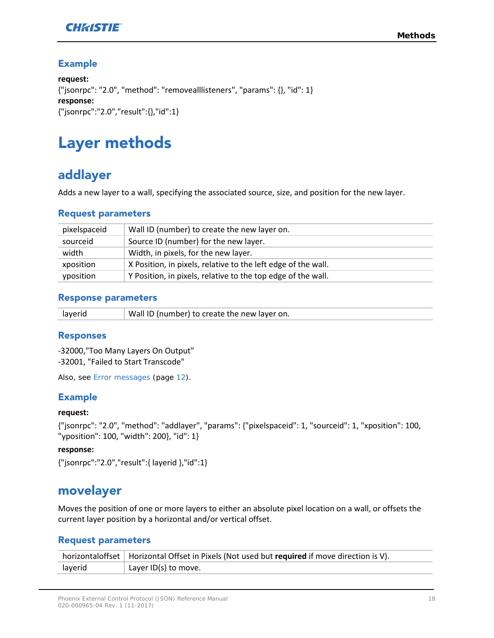

#### Example

**request:** {"jsonrpc": "2.0", "method": "removealllisteners", "params": {}, "id": 1} **response:** {"jsonrpc":"2.0","result":{},"id":1}

# <span id="page-17-0"></span>Layer methods

# <span id="page-17-1"></span>addlayer

Adds a new layer to a wall, specifying the associated source, size, and position for the new layer.

#### Request parameters

| pixelspaceid | Wall ID (number) to create the new layer on.                  |
|--------------|---------------------------------------------------------------|
| sourceid     | Source ID (number) for the new layer.                         |
| width        | Width, in pixels, for the new layer.                          |
| xposition    | X Position, in pixels, relative to the left edge of the wall. |
| yposition    | Y Position, in pixels, relative to the top edge of the wall.  |

#### Response parameters

|--|

#### Responses

-32000,"Too Many Layers On Output" -32001, "Failed to Start Transcode"

Also, see *[Error messages](#page-11-1)* (page *[12](#page-11-1)*).

#### Example

#### **request:**

{"jsonrpc": "2.0", "method": "addlayer", "params": {"pixelspaceid": 1, "sourceid": 1, "xposition": 100, "yposition": 100, "width": 200}, "id": 1}

#### **response:**

```
{"jsonrpc":"2.0","result":{ layerid },"id":1}
```
### movelayer

Moves the position of one or more layers to either an absolute pixel location on a wall, or offsets the current layer position by a horizontal and/or vertical offset.

#### Request parameters

|         | horizontaloffset   Horizontal Offset in Pixels (Not used but required if move direction is V). |
|---------|------------------------------------------------------------------------------------------------|
| layerid | $\perp$ Layer ID(s) to move.                                                                   |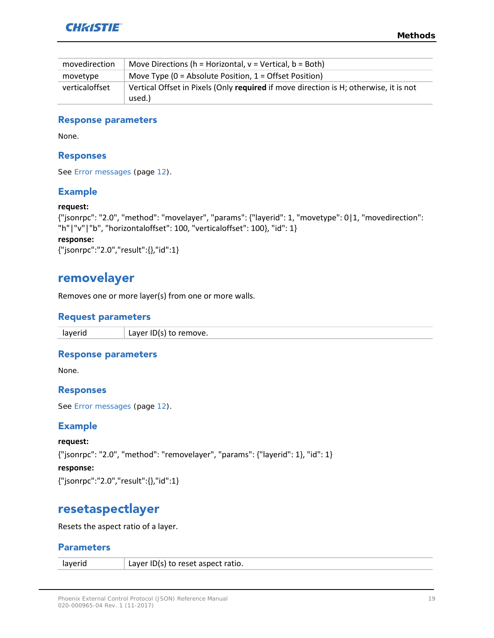

| movedirection  | Move Directions ( $h =$ Horizontal, $v =$ Vertical, $b =$ Both)                                 |
|----------------|-------------------------------------------------------------------------------------------------|
| movetype       | Move Type ( $0 =$ Absolute Position, $1 =$ Offset Position)                                     |
| verticaloffset | Vertical Offset in Pixels (Only required if move direction is H; otherwise, it is not<br>used.) |

#### Response parameters

None.

#### Responses

See *[Error messages](#page-11-1)* (page *[12](#page-11-1)*).

#### Example

#### **request:**

```
{"jsonrpc": "2.0", "method": "movelayer", "params": {"layerid": 1, "movetype": 0|1, "movedirection": 
"h"|"v"|"b", "horizontaloffset": 100, "verticaloffset": 100}, "id": 1}
```
#### **response:**

```
{"jsonrpc":"2.0","result":{},"id":1}
```
### removelayer

Removes one or more layer(s) from one or more walls.

#### Request parameters

layerid  $\vert$  Layer ID(s) to remove.

#### Response parameters

None.

#### Responses

See *[Error messages](#page-11-1)* (page *[12](#page-11-1)*).

#### Example

**request:** {"jsonrpc": "2.0", "method": "removelayer", "params": {"layerid": 1}, "id": 1} **response:** {"jsonrpc":"2.0","result":{},"id":1}

### <span id="page-18-1"></span>resetaspectlayer

Resets the aspect ratio of a layer.

#### Parameters

| layerid | Layer ID(s) to reset aspect ratio. |
|---------|------------------------------------|
|---------|------------------------------------|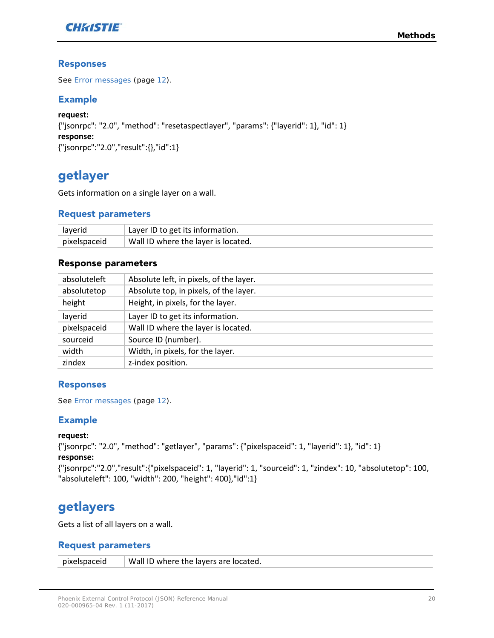

#### Responses

See *[Error messages](#page-11-1)* (page *[12](#page-11-1)*).

#### Example

```
request:
{"jsonrpc": "2.0", "method": "resetaspectlayer", "params": {"layerid": 1}, "id": 1}
response:
{"jsonrpc":"2.0","result":{},"id":1}
```
# <span id="page-19-0"></span>getlayer

Gets information on a single layer on a wall.

#### Request parameters

| layerid      | Layer ID to get its information.    |
|--------------|-------------------------------------|
| pixelspaceid | Wall ID where the layer is located. |

#### Response parameters

| absoluteleft | Absolute left, in pixels, of the layer. |
|--------------|-----------------------------------------|
| absolutetop  | Absolute top, in pixels, of the layer.  |
| height       | Height, in pixels, for the layer.       |
| layerid      | Layer ID to get its information.        |
| pixelspaceid | Wall ID where the layer is located.     |
| sourceid     | Source ID (number).                     |
| width        | Width, in pixels, for the layer.        |
| zindex       | z-index position.                       |

#### Responses

See *[Error messages](#page-11-1)* (page *[12](#page-11-1)*).

#### Example

#### **request:**

{"jsonrpc": "2.0", "method": "getlayer", "params": {"pixelspaceid": 1, "layerid": 1}, "id": 1} **response:**

```
{"jsonrpc":"2.0","result":{"pixelspaceid": 1, "layerid": 1, "sourceid": 1, "zindex": 10, "absolutetop": 100, 
"absoluteleft": 100, "width": 200, "height": 400},"id":1}
```
# <span id="page-19-1"></span>getlayers

Gets a list of all layers on a wall.

#### Request parameters

pixelspaceid Wall ID where the layers are located.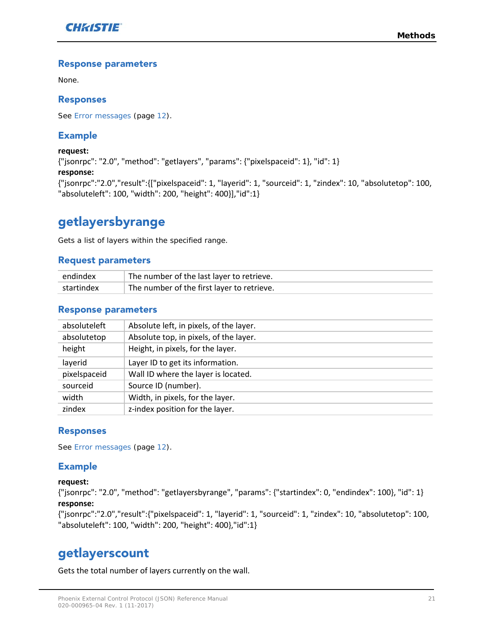

#### Response parameters

None.

#### Responses

See *[Error messages](#page-11-1)* (page *[12](#page-11-1)*).

#### Example

**request:** {"jsonrpc": "2.0", "method": "getlayers", "params": {"pixelspaceid": 1}, "id": 1} **response:** {"jsonrpc":"2.0","result":{["pixelspaceid": 1, "layerid": 1, "sourceid": 1, "zindex": 10, "absolutetop": 100, "absoluteleft": 100, "width": 200, "height": 400}],"id":1}

# <span id="page-20-0"></span>getlayersbyrange

Gets a list of layers within the specified range.

#### Request parameters

| endindex   | The number of the last layer to retrieve.               |
|------------|---------------------------------------------------------|
| startindex | <sup>1</sup> The number of the first layer to retrieve. |

#### Response parameters

| absoluteleft | Absolute left, in pixels, of the layer. |
|--------------|-----------------------------------------|
| absolutetop  | Absolute top, in pixels, of the layer.  |
| height       | Height, in pixels, for the layer.       |
| layerid      | Layer ID to get its information.        |
| pixelspaceid | Wall ID where the layer is located.     |
| sourceid     | Source ID (number).                     |
| width        | Width, in pixels, for the layer.        |
| zindex       | z-index position for the layer.         |
|              |                                         |

#### Responses

See *[Error messages](#page-11-1)* (page *[12](#page-11-1)*).

#### Example

#### **request:**

{"jsonrpc": "2.0", "method": "getlayersbyrange", "params": {"startindex": 0, "endindex": 100}, "id": 1} **response:**

{"jsonrpc":"2.0","result":{"pixelspaceid": 1, "layerid": 1, "sourceid": 1, "zindex": 10, "absolutetop": 100, "absoluteleft": 100, "width": 200, "height": 400},"id":1}

### <span id="page-20-1"></span>getlayerscount

Gets the total number of layers currently on the wall.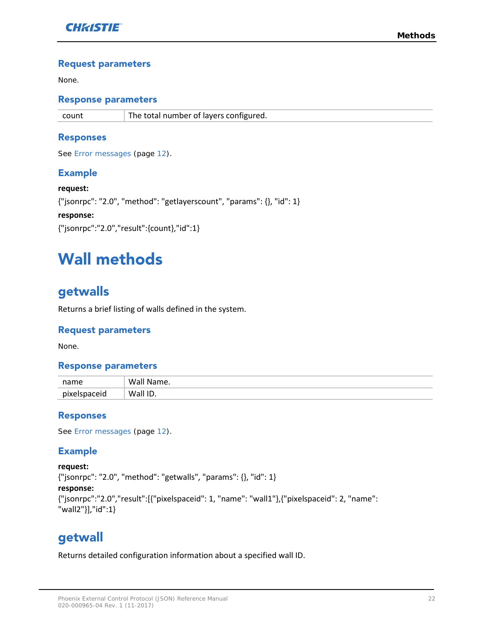

#### Request parameters

None.

#### Response parameters

count The total number of layers configured.

#### Responses

See *Error [messages](#page-11-1)* (page *[12](#page-11-1)*).

#### Example

**request:** {"jsonrpc": "2.0", "method": "getlayerscount", "params": {}, "id": 1} **response:** {"jsonrpc":"2.0","result":{count},"id":1}

# <span id="page-21-0"></span>Wall methods

# <span id="page-21-1"></span>getwalls

Returns a brief listing of walls defined in the system.

#### Request parameters

None.

#### Response parameters

| name         | Wai<br>Mame.    |
|--------------|-----------------|
| niv<br>iceic | Wall<br>ID<br>a |

#### Responses

See *[Error messages](#page-11-1)* (page *[12](#page-11-1)*).

#### Example

**request:** {"jsonrpc": "2.0", "method": "getwalls", "params": {}, "id": 1} **response:** {"jsonrpc":"2.0","result":[{"pixelspaceid": 1, "name": "wall1"},{"pixelspaceid": 2, "name": "wall2"}],"id":1}

### <span id="page-21-2"></span>getwall

Returns detailed configuration information about a specified wall ID.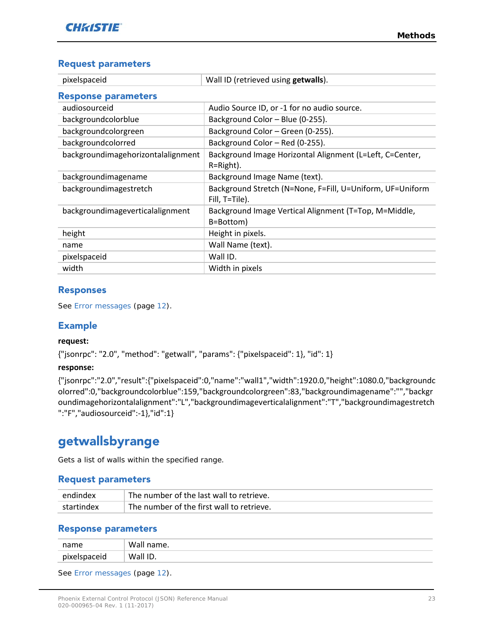#### Request parameters

| pixelspaceid                       | Wall ID (retrieved using getwalls).                                         |
|------------------------------------|-----------------------------------------------------------------------------|
| <b>Response parameters</b>         |                                                                             |
| audiosourceid                      | Audio Source ID, or -1 for no audio source.                                 |
| backgroundcolorblue                | Background Color - Blue (0-255).                                            |
| backgroundcolorgreen               | Background Color - Green (0-255).                                           |
| backgroundcolorred                 | Background Color - Red (0-255).                                             |
| backgroundimagehorizontalalignment | Background Image Horizontal Alignment (L=Left, C=Center,<br>$R = Right$ ).  |
| backgroundimagename                | Background Image Name (text).                                               |
| backgroundimagestretch             | Background Stretch (N=None, F=Fill, U=Uniform, UF=Uniform<br>Fill, T=Tile). |
| backgroundimageverticalalignment   | Background Image Vertical Alignment (T=Top, M=Middle,<br>B=Bottom)          |
| height                             | Height in pixels.                                                           |
| name                               | Wall Name (text).                                                           |
| pixelspaceid                       | Wall ID.                                                                    |
| width                              | Width in pixels                                                             |

#### Responses

See *[Error messages](#page-11-1)* (page *[12](#page-11-1)*).

#### Example

#### **request:**

{"jsonrpc": "2.0", "method": "getwall", "params": {"pixelspaceid": 1}, "id": 1}

#### **response:**

{"jsonrpc":"2.0","result":{"pixelspaceid":0,"name":"wall1","width":1920.0,"height":1080.0,"backgroundc olorred":0,"backgroundcolorblue":159,"backgroundcolorgreen":83,"backgroundimagename":"","backgr oundimagehorizontalalignment":"L","backgroundimageverticalalignment":"T","backgroundimagestretch ":"F","audiosourceid":-1},"id":1}

# <span id="page-22-0"></span>getwallsbyrange

Gets a list of walls within the specified range.

#### Request parameters

| endindex   | The number of the last wall to retrieve.  |
|------------|-------------------------------------------|
| startindex | The number of the first wall to retrieve. |

#### Response parameters

| name      | wall<br>Tidille. |
|-----------|------------------|
| niyalcron | ID.<br>Wall<br>. |

See *[Error messages](#page-11-1)* (page *[12](#page-11-1)*).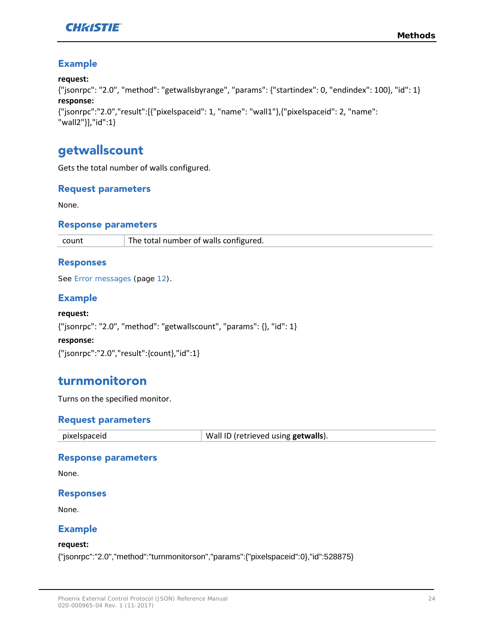

#### Example

#### **request:**

```
{"jsonrpc": "2.0", "method": "getwallsbyrange", "params": {"startindex": 0, "endindex": 100}, "id": 1}
response:
{"jsonrpc":"2.0","result":[{"pixelspaceid": 1, "name": "wall1"},{"pixelspaceid": 2, "name": 
"wall2"}],"id":1}
```
### <span id="page-23-0"></span>getwallscount

Gets the total number of walls configured.

#### Request parameters

None.

#### Response parameters

count The total number of walls configured.

#### Responses

See *[Error messages](#page-11-1)* (page *[12](#page-11-1)*).

#### Example

**request:** {"jsonrpc": "2.0", "method": "getwallscount", "params": {}, "id": 1} **response:** {"jsonrpc":"2.0","result":{count},"id":1}

### <span id="page-23-1"></span>turnmonitoron

Turns on the specified monitor.

#### Request parameters

| pixelspaceid | Wall ID (retrieved using <b>getwalls</b> ). |
|--------------|---------------------------------------------|
|--------------|---------------------------------------------|

#### Response parameters

None.

#### Responses

None.

#### Example

#### **request:**

{"jsonrpc":"2.0","method":"turnmonitorson","params":{"pixelspaceid":0},"id":528875}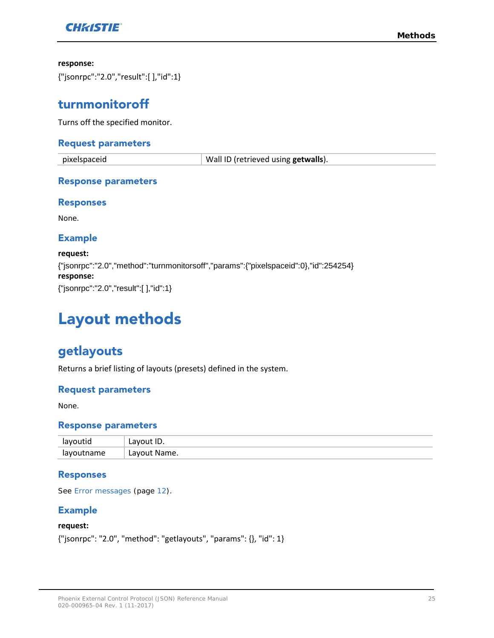

#### **response:**

<span id="page-24-0"></span>{"jsonrpc":"2.0","result":[ ],"id":1}

### turnmonitoroff

Turns off the specified monitor.

#### Request parameters

pixelspaceid Wall ID (retrieved using **getwalls**).

#### Response parameters

#### Responses

None.

#### Example

**request:** {"jsonrpc":"2.0","method":"turnmonitorsoff","params":{"pixelspaceid":0},"id":254254} **response:** {"jsonrpc":"2.0","result":[ ],"id":1}

# <span id="page-24-1"></span>Layout methods

## <span id="page-24-2"></span>getlayouts

Returns a brief listing of layouts (presets) defined in the system.

#### Request parameters

None.

#### Response parameters

|            | .וב<br>--              |
|------------|------------------------|
| ำame<br>יי | avout.<br>: Name<br>∟u |

#### Responses

See *[Error messages](#page-11-1)* (page *[12](#page-11-1)*).

#### Example

#### **request:**

{"jsonrpc": "2.0", "method": "getlayouts", "params": {}, "id": 1}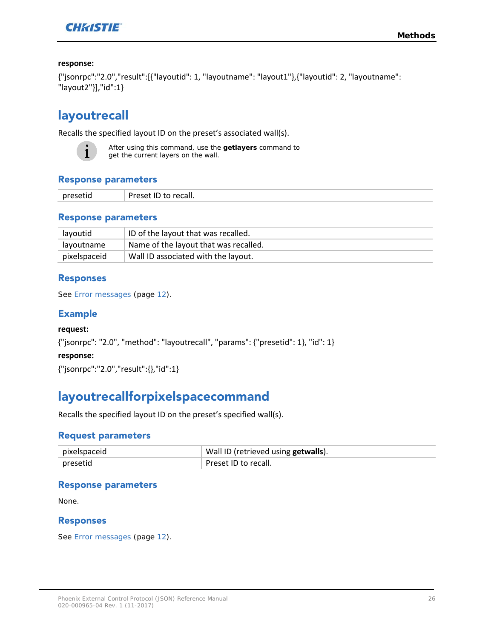

#### **response:**

```
{"jsonrpc":"2.0","result":[{"layoutid": 1, "layoutname": "layout1"},{"layoutid": 2, "layoutname": 
"layout2"}],"id":1}
```
# <span id="page-25-0"></span>layoutrecall

Recalls the specified layout ID on the preset's associated wall(s).



After using this command, use the **getlayers** command to get the current layers on the wall.

#### Response parameters

| $\mathbf{r}$ | CdII.<br>_____ |
|--------------|----------------|
|--------------|----------------|

#### Response parameters

| layoutid     | ID of the layout that was recalled.   |
|--------------|---------------------------------------|
| layoutname   | Name of the layout that was recalled. |
| pixelspaceid | Wall ID associated with the layout.   |

#### Responses

See *[Error messages](#page-11-1)* (page *[12](#page-11-1)*).

#### Example

#### **request:**

{"jsonrpc": "2.0", "method": "layoutrecall", "params": {"presetid": 1}, "id": 1}

#### **response:**

<span id="page-25-1"></span>{"jsonrpc":"2.0","result":{},"id":1}

# layoutrecallforpixelspacecommand

Recalls the specified layout ID on the preset's specified wall(s).

#### Request parameters

| pixelspaceid | Wall ID (retrieved using getwalls). |
|--------------|-------------------------------------|
| presetid     | Preset ID to recall.                |

#### Response parameters

None.

#### Responses

See *[Error messages](#page-11-1)* (page *[12](#page-11-1)*).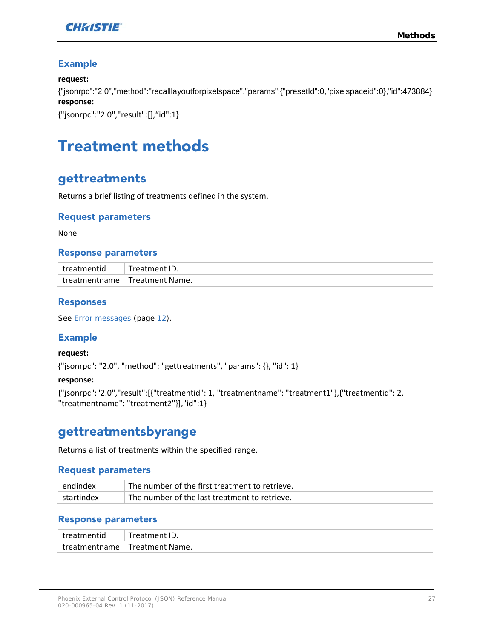

#### Example

#### **request:**

{"jsonrpc":"2.0","method":"recalllayoutforpixelspace","params":{"presetId":0,"pixelspaceid":0},"id":473884} **response:**

<span id="page-26-0"></span>{"jsonrpc":"2.0","result":[],"id":1}

# Treatment methods

### <span id="page-26-1"></span>gettreatments

Returns a brief listing of treatments defined in the system.

#### Request parameters

None.

#### Response parameters

| treatmentid   | Treatment ID.                |
|---------------|------------------------------|
| treatmentname | <sup>1</sup> Treatment Name. |

#### Responses

See *[Error messages](#page-11-1)* (page *[12](#page-11-1)*).

#### Example

**request:**

{"jsonrpc": "2.0", "method": "gettreatments", "params": {}, "id": 1}

#### **response:**

{"jsonrpc":"2.0","result":[{"treatmentid": 1, "treatmentname": "treatment1"},{"treatmentid": 2, "treatmentname": "treatment2"}],"id":1}

## <span id="page-26-2"></span>gettreatmentsbyrange

Returns a list of treatments within the specified range.

#### Request parameters

| endindex   | The number of the first treatment to retrieve. |
|------------|------------------------------------------------|
| startindex | The number of the last treatment to retrieve.  |

#### Response parameters

| treatmentid | Treatment ID.                   |
|-------------|---------------------------------|
|             | treatmentname   Treatment Name. |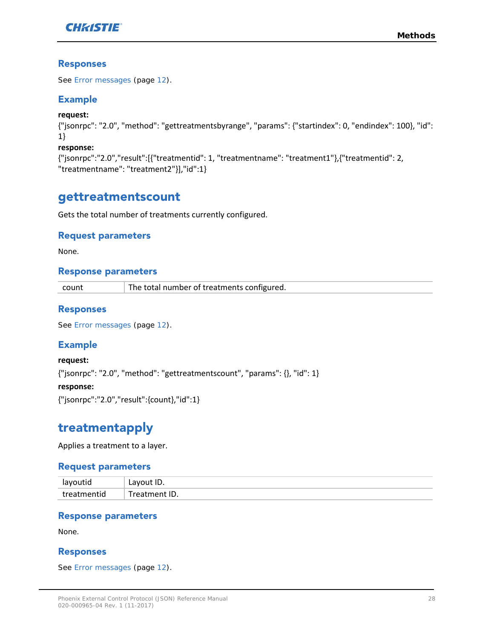

#### Responses

See *[Error messages](#page-11-1)* (page *[12](#page-11-1)*).

#### Example

**request:**

{"jsonrpc": "2.0", "method": "gettreatmentsbyrange", "params": {"startindex": 0, "endindex": 100}, "id": 1}

#### **response:**

{"jsonrpc":"2.0","result":[{"treatmentid": 1, "treatmentname": "treatment1"},{"treatmentid": 2, "treatmentname": "treatment2"}],"id":1}

### <span id="page-27-0"></span>gettreatmentscount

Gets the total number of treatments currently configured.

#### Request parameters

None.

#### Response parameters

| count | The total number of treatments configured. |
|-------|--------------------------------------------|
|-------|--------------------------------------------|

#### Responses

See *[Error messages](#page-11-1)* (page *[12](#page-11-1)*).

#### Example

**request:** {"jsonrpc": "2.0", "method": "gettreatmentscount", "params": {}, "id": 1} **response:**

<span id="page-27-1"></span>{"jsonrpc":"2.0","result":{count},"id":1}

# treatmentapply

Applies a treatment to a layer.

#### Request parameters

| $\Box$<br> | ייב<br>--<br>__  |
|------------|------------------|
| $tr\alpha$ | .<br>≅ID.<br>r o |

#### Response parameters

None.

#### Responses

See *[Error messages](#page-11-1)* (page *[12](#page-11-1)*).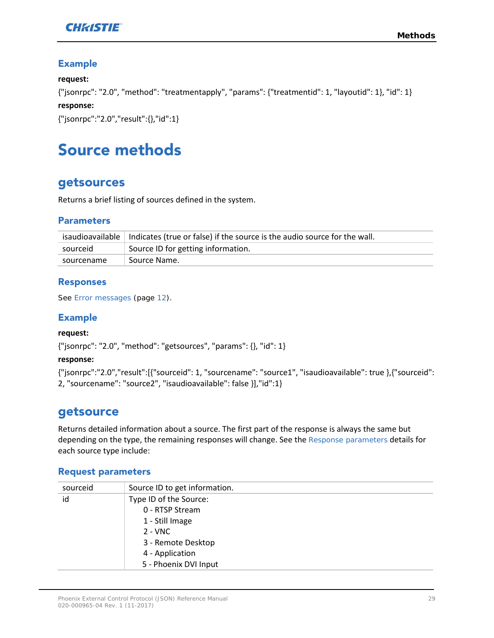

#### Example

#### **request:**

{"jsonrpc": "2.0", "method": "treatmentapply", "params": {"treatmentid": 1, "layoutid": 1}, "id": 1}

#### **response:**

<span id="page-28-0"></span>{"jsonrpc":"2.0","result":{},"id":1}

# Source methods

### <span id="page-28-1"></span>getsources

Returns a brief listing of sources defined in the system.

#### **Parameters**

|            | isaudioavailable   Indicates (true or false) if the source is the audio source for the wall. |
|------------|----------------------------------------------------------------------------------------------|
| sourceid   | Source ID for getting information.                                                           |
| sourcename | Source Name.                                                                                 |

#### Responses

See *[Error messages](#page-11-1)* (page *[12](#page-11-1)*).

#### Example

#### **request:**

{"jsonrpc": "2.0", "method": "getsources", "params": {}, "id": 1}

#### **response:**

{"jsonrpc":"2.0","result":[{"sourceid": 1, "sourcename": "source1", "isaudioavailable": true },{"sourceid": 2, "sourcename": "source2", "isaudioavailable": false }],"id":1}

### <span id="page-28-2"></span>getsource

Returns detailed information about a source. The first part of the response is always the same but depending on the type, the remaining responses will change. See the *[Response parameters](#page-29-0)* details for each source type include:

#### Request parameters

| sourceid | Source ID to get information. |
|----------|-------------------------------|
| id       | Type ID of the Source:        |
|          | 0 - RTSP Stream               |
|          | 1 - Still Image               |
|          | $2 - VNC$                     |
|          | 3 - Remote Desktop            |
|          | 4 - Application               |
|          | 5 - Phoenix DVI Input         |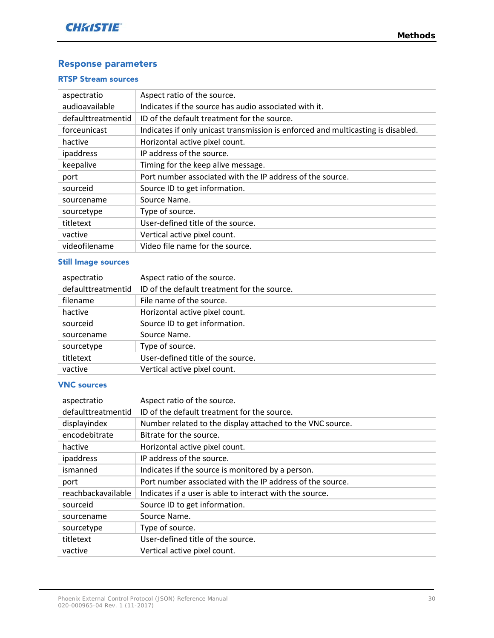#### <span id="page-29-0"></span>Response parameters

#### RTSP Stream sources

| aspectratio        | Aspect ratio of the source.                                                      |
|--------------------|----------------------------------------------------------------------------------|
| audioavailable     | Indicates if the source has audio associated with it.                            |
| defaulttreatmentid | ID of the default treatment for the source.                                      |
| forceunicast       | Indicates if only unicast transmission is enforced and multicasting is disabled. |
| hactive            | Horizontal active pixel count.                                                   |
| ipaddress          | IP address of the source.                                                        |
| keepalive          | Timing for the keep alive message.                                               |
| port               | Port number associated with the IP address of the source.                        |
| sourceid           | Source ID to get information.                                                    |
| sourcename         | Source Name.                                                                     |
| sourcetype         | Type of source.                                                                  |
| titletext          | User-defined title of the source.                                                |
| vactive            | Vertical active pixel count.                                                     |
| videofilename      | Video file name for the source.                                                  |

#### Still Image sources

| aspectratio        | Aspect ratio of the source.                 |
|--------------------|---------------------------------------------|
| defaulttreatmentid | ID of the default treatment for the source. |
| filename           | File name of the source.                    |
| hactive            | Horizontal active pixel count.              |
| sourceid           | Source ID to get information.               |
| sourcename         | Source Name.                                |
| sourcetype         | Type of source.                             |
| titletext          | User-defined title of the source.           |
| vactive            | Vertical active pixel count.                |

#### VNC sources

| aspectratio        | Aspect ratio of the source.                               |
|--------------------|-----------------------------------------------------------|
| defaulttreatmentid | ID of the default treatment for the source.               |
| displayindex       | Number related to the display attached to the VNC source. |
| encodebitrate      | Bitrate for the source.                                   |
| hactive            | Horizontal active pixel count.                            |
| ipaddress          | IP address of the source.                                 |
| ismanned           | Indicates if the source is monitored by a person.         |
| port               | Port number associated with the IP address of the source. |
| reachbackavailable | Indicates if a user is able to interact with the source.  |
| sourceid           | Source ID to get information.                             |
| sourcename         | Source Name.                                              |
| sourcetype         | Type of source.                                           |
| titletext          | User-defined title of the source.                         |
| vactive            | Vertical active pixel count.                              |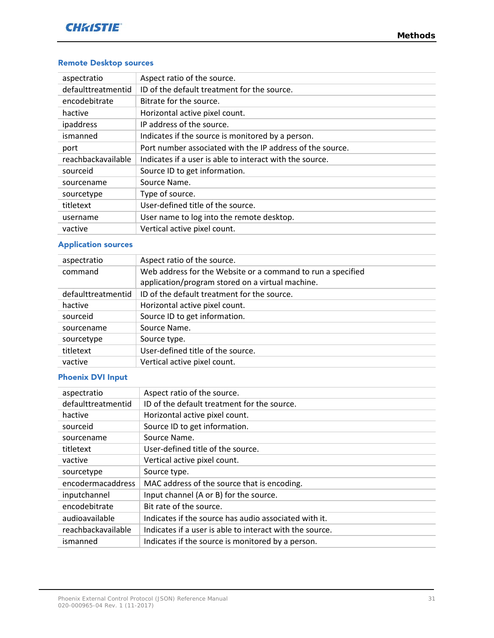#### Remote Desktop sources

| aspectratio        | Aspect ratio of the source.                               |
|--------------------|-----------------------------------------------------------|
| defaulttreatmentid | ID of the default treatment for the source.               |
| encodebitrate      | Bitrate for the source.                                   |
| hactive            | Horizontal active pixel count.                            |
| ipaddress          | IP address of the source.                                 |
| ismanned           | Indicates if the source is monitored by a person.         |
| port               | Port number associated with the IP address of the source. |
| reachbackavailable | Indicates if a user is able to interact with the source.  |
| sourceid           | Source ID to get information.                             |
| sourcename         | Source Name.                                              |
| sourcetype         | Type of source.                                           |
| titletext          | User-defined title of the source.                         |
| username           | User name to log into the remote desktop.                 |
| vactive            | Vertical active pixel count.                              |

#### Application sources

| aspectratio        | Aspect ratio of the source.                                 |
|--------------------|-------------------------------------------------------------|
| command            | Web address for the Website or a command to run a specified |
|                    | application/program stored on a virtual machine.            |
| defaulttreatmentid | ID of the default treatment for the source.                 |
| hactive            | Horizontal active pixel count.                              |
| sourceid           | Source ID to get information.                               |
| sourcename         | Source Name.                                                |
| sourcetype         | Source type.                                                |
| titletext          | User-defined title of the source.                           |
| vactive            | Vertical active pixel count.                                |

#### Phoenix DVI Input

| aspectratio        | Aspect ratio of the source.                              |
|--------------------|----------------------------------------------------------|
| defaulttreatmentid | ID of the default treatment for the source.              |
| hactive            | Horizontal active pixel count.                           |
| sourceid           | Source ID to get information.                            |
| sourcename         | Source Name.                                             |
| titletext          | User-defined title of the source.                        |
| vactive            | Vertical active pixel count.                             |
| sourcetype         | Source type.                                             |
| encodermacaddress  | MAC address of the source that is encoding.              |
| inputchannel       | Input channel (A or B) for the source.                   |
| encodebitrate      | Bit rate of the source.                                  |
| audioavailable     | Indicates if the source has audio associated with it.    |
| reachbackavailable | Indicates if a user is able to interact with the source. |
| ismanned           | Indicates if the source is monitored by a person.        |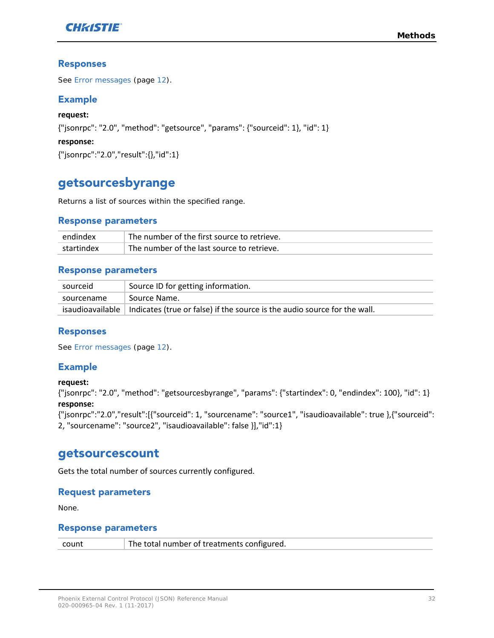

#### Responses

See *[Error messages](#page-11-1)* (page *[12](#page-11-1)*).

#### Example

**request:** {"jsonrpc": "2.0", "method": "getsource", "params": {"sourceid": 1}, "id": 1} **response:** {"jsonrpc":"2.0","result":{},"id":1}

## <span id="page-31-0"></span>getsourcesbyrange

Returns a list of sources within the specified range.

#### Response parameters

| endindex   | The number of the first source to retrieve. |
|------------|---------------------------------------------|
| startindex | The number of the last source to retrieve.  |

#### Response parameters

| sourceid   | Source ID for getting information.                                                           |
|------------|----------------------------------------------------------------------------------------------|
| sourcename | Source Name.                                                                                 |
|            | isaudioavailable   Indicates (true or false) if the source is the audio source for the wall. |

#### Responses

See *[Error messages](#page-11-1)* (page *[12](#page-11-1)*).

#### Example

#### **request:**

{"jsonrpc": "2.0", "method": "getsourcesbyrange", "params": {"startindex": 0, "endindex": 100}, "id": 1} **response:**

{"jsonrpc":"2.0","result":[{"sourceid": 1, "sourcename": "source1", "isaudioavailable": true },{"sourceid": 2, "sourcename": "source2", "isaudioavailable": false }],"id":1}

### <span id="page-31-1"></span>getsourcescount

Gets the total number of sources currently configured.

#### Request parameters

None.

#### Response parameters

| count | The total number of treatments configured. |
|-------|--------------------------------------------|
|-------|--------------------------------------------|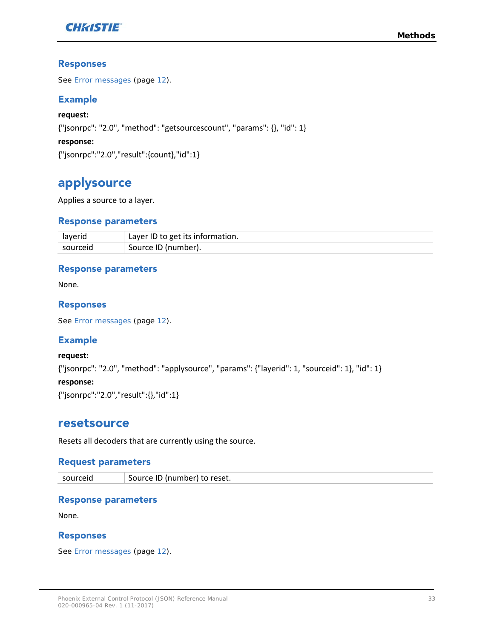

#### Responses

See *[Error messages](#page-11-1)* (page *[12](#page-11-1)*).

#### Example

**request:** {"jsonrpc": "2.0", "method": "getsourcescount", "params": {}, "id": 1} **response:** {"jsonrpc":"2.0","result":{count},"id":1}

## <span id="page-32-0"></span>applysource

Applies a source to a layer.

#### Response parameters

| laverid  | Layer ID to get its information. |
|----------|----------------------------------|
| sourceid | Source ID (number).              |

#### Response parameters

None.

#### Responses

See *[Error messages](#page-11-1)* (page *[12](#page-11-1)*).

#### Example

**request:**

{"jsonrpc": "2.0", "method": "applysource", "params": {"layerid": 1, "sourceid": 1}, "id": 1}

#### **response:**

<span id="page-32-1"></span>{"jsonrpc":"2.0","result":{},"id":1}

#### resetsource

Resets all decoders that are currently using the source.

#### Request parameters

sourceid Source ID (number) to reset.

#### Response parameters

None.

#### Responses

See *[Error messages](#page-11-1)* (page *[12](#page-11-1)*).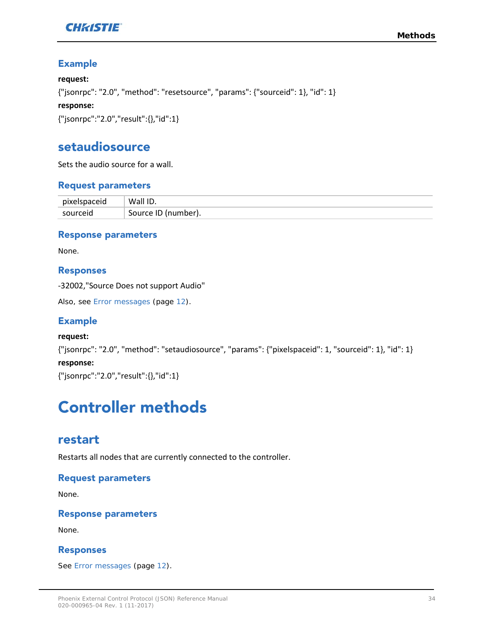

#### Example

#### **request:**

{"jsonrpc": "2.0", "method": "resetsource", "params": {"sourceid": 1}, "id": 1}

#### **response:**

<span id="page-33-0"></span>{"jsonrpc":"2.0","result":{},"id":1}

### setaudiosource

Sets the audio source for a wall.

#### Request parameters

| pixelspaceid | Wall ID.              |
|--------------|-----------------------|
| sourceid     | └ Source ID (number). |

#### Response parameters

None.

#### Responses

-32002,"Source Does not support Audio"

Also, see *[Error messages](#page-11-1)* (page *[12](#page-11-1)*).

#### Example

#### **request:**

{"jsonrpc": "2.0", "method": "setaudiosource", "params": {"pixelspaceid": 1, "sourceid": 1}, "id": 1} **response:**

<span id="page-33-1"></span>{"jsonrpc":"2.0","result":{},"id":1}

# Controller methods

### <span id="page-33-2"></span>restart

Restarts all nodes that are currently connected to the controller.

#### Request parameters

None.

#### Response parameters

None.

#### Responses

See *[Error messages](#page-11-1)* (page *[12](#page-11-1)*).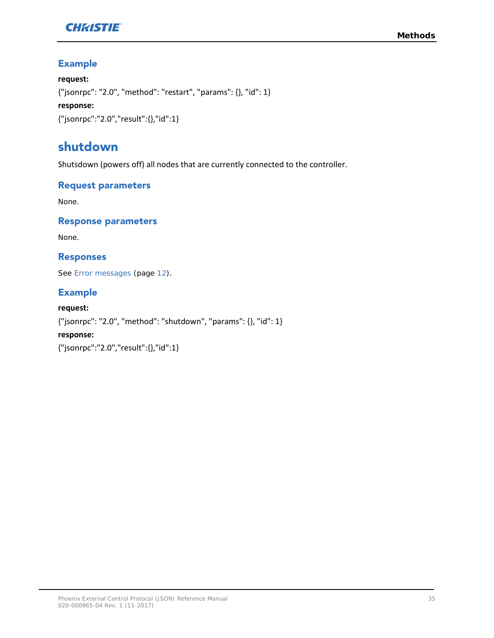

#### Example

#### **request:**

{"jsonrpc": "2.0", "method": "restart", "params": {}, "id": 1}

#### **response:**

{"jsonrpc":"2.0","result":{},"id":1}

# <span id="page-34-0"></span>shutdown

Shutsdown (powers off) all nodes that are currently connected to the controller.

#### Request parameters

None.

#### Response parameters

None.

#### Responses

See *[Error messages](#page-11-1)* (page *[12](#page-11-1)*).

#### Example

**request:** {"jsonrpc": "2.0", "method": "shutdown", "params": {}, "id": 1} **response:** {"jsonrpc":"2.0","result":{},"id":1}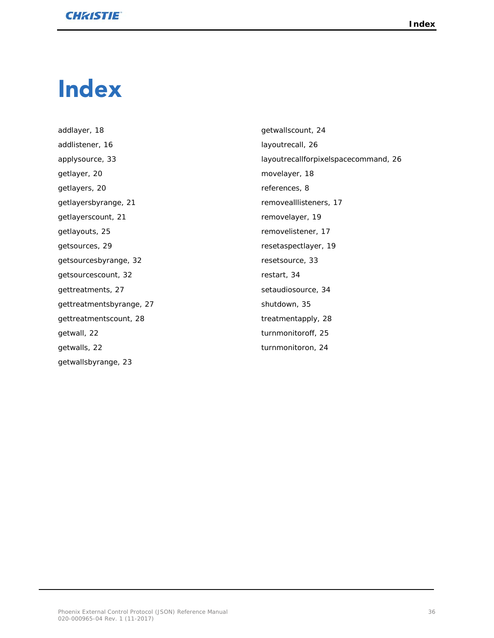# <span id="page-35-0"></span>Index

addlayer, 18 addlistener, 16 applysource, 33 getlayer, 20 getlayers, 20 getlayersbyrange, 21 getlayerscount, 21 getlayouts, 25 getsources, 29 getsourcesbyrange, 32 getsourcescount, 32 gettreatments, 27 gettreatmentsbyrange, 27 gettreatmentscount, 28 getwall, 22 getwalls, 22 getwallsbyrange, 23

getwallscount, 24 layoutrecall, 26 layoutrecallforpixelspacecommand, 26 movelayer, 18 references, 8 removealllisteners, 17 removelayer, 19 removelistener, 17 resetaspectlayer, 19 resetsource, 33 restart, 34 setaudiosource, 34 shutdown, 35 treatmentapply, 28 turnmonitoroff, 25 turnmonitoron, 24